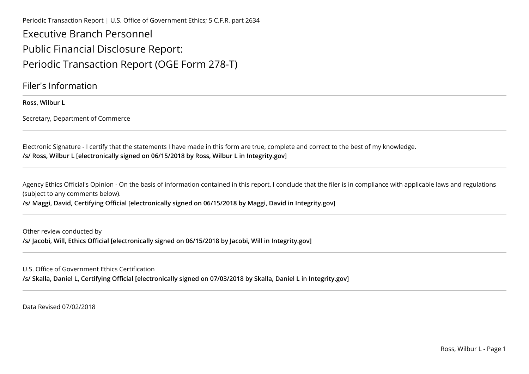Periodic Transaction Report | U.S. Office of Government Ethics; 5 C.F.R. part 2634

Executive Branch PersonnelPublic Financial Disclosure Report:Periodic Transaction Report (OGE Form 278-T)

Filer's Information

**Ross, Wilbur L**

Secretary, Department of Commerce

Electronic Signature - I certify that the statements I have made in this form are true, complete and correct to the best of my knowledge.**/s/ Ross, Wilbur L [electronically signed on 06/15/2018 by Ross, Wilbur L in Integrity.gov]** 

Agency Ethics Official's Opinion - On the basis of information contained in this report, I conclude that the filer is in compliance with applicable laws and regulations (subject to any comments below).

**/s/ Maggi, David, Certifying Official [electronically signed on 06/15/2018 by Maggi, David in Integrity.gov]**

Other review conducted by**/s/ Jacobi, Will, Ethics Official [electronically signed on 06/15/2018 by Jacobi, Will in Integrity.gov]**

U.S. Office of Government Ethics Certification

**/s/ Skalla, Daniel L, Certifying Official [electronically signed on 07/03/2018 by Skalla, Daniel L in Integrity.gov]**

Data Revised 07/02/2018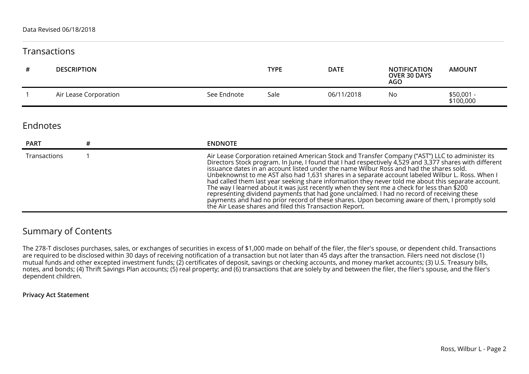## **Transactions**

| # | <b>DESCRIPTION</b>    |             | <b>TYPE</b> | <b>DATE</b> | <b>NOTIFICATION</b><br><b>OVER 30 DAYS</b><br><b>AGO</b> | <b>AMOUNT</b>           |
|---|-----------------------|-------------|-------------|-------------|----------------------------------------------------------|-------------------------|
|   | Air Lease Corporation | See Endnote | Sale        | 06/11/2018  | No                                                       | \$50,001 -<br>\$100,000 |

## Endnotes

| <b>PART</b>  | <b>ENDNOTE</b>                                                                                                                                                                                                                                                                                                                                                                                                                                                                                                                                                                                                                                                                                                                                                                                                                                                             |
|--------------|----------------------------------------------------------------------------------------------------------------------------------------------------------------------------------------------------------------------------------------------------------------------------------------------------------------------------------------------------------------------------------------------------------------------------------------------------------------------------------------------------------------------------------------------------------------------------------------------------------------------------------------------------------------------------------------------------------------------------------------------------------------------------------------------------------------------------------------------------------------------------|
| Transactions | Air Lease Corporation retained American Stock and Transfer Company ("AST") LLC to administer its<br>Directors Stock program. In June, I found that I had respectively 4,529 and 3,377 shares with different<br>issuance dates in an account listed under the name Wilbur Ross and had the shares sold.<br>Unbeknownst to me AST also had 1,631 shares in a separate account labeled Wilbur L. Ross. When I<br>had called them last year seeking share information they never told me about this separate account.<br>The way I learned about it was just recently when they sent me a check for less than \$200<br>representing dividend payments that had gone unclaimed. I had no record of receiving these<br>payments and had no prior record of these shares. Upon becoming aware of them, I promptly sold<br>the Air Lease shares and filed this Transaction Report. |

## Summary of Contents

The 278-T discloses purchases, sales, or exchanges of securities in excess of \$1,000 made on behalf of the filer, the filer's spouse, or dependent child. Transactionsare required to be disclosed within 30 days of receiving notification of a transaction but not later than 45 days after the transaction. Filers need not disclose (1)mutual funds and other excepted investment funds; (2) certificates of deposit, savings or checking accounts, and money market accounts; (3) U.S. Treasury bills,<br>notes, and bonds; (4) Thrift Savings Plan accounts; (5) real dependent children.

## **Privacy Act Statement**